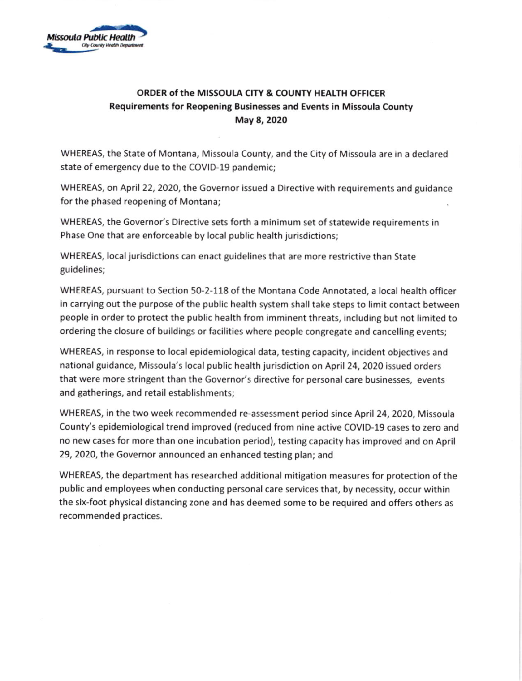

## ORDER of the MISSOULA CITY & COUNTY HEALTH OFFICER Requirements for Reopening Businesses and Events in Missoula County May 8, 2020

WHEREAS, the State of Montana. Missoula County, and the City of Missoula are in a declared state of emergency due to the COVID-19 pandemic;

WHEREAS, on April 22, 2020, the Governor issued a Directive with requirements and guidance for the phased reopening of Montana;

WHEREAS, the Governor's Directive sets forth a minimum set of statewide requirements in Phase One that are enforceable by local public health jurisdictions;

WHEREAS, local jurisdictions can enact guidelines that are more restrictive than State guidelines;

WHEREAS, pursuant to Section 50-2-118 of the Montana Code Annotated, a local health officer in carrying out the purpose of the public health system shall take steps to limit contact between people in order to protect the public health from imminent threats, including but not limited to ordering the closure of buildings or facilities where people congregate and cancelling events;

WHEREAS, in response to local epidemiological data, testing capacity, incident objectives and national guidance, Missoula's local public health jurisdiction on April 24, 2020 issued orders that were more stringent than the Governor's directive for personal care businesses, events and gatherings, and retail establishments;

WHEREAS, in the two week recommended re-assessment period since April 24, 2020, Missoula County's epidemiological trend improved (reduced from nine active COVID-19 cases to zero and no new cases for more than one incubation period), testing capacity has improved and on April 29, 2020, the Governor announced an enhanced testing plan; and

WHEREAS, the department has researched additional mitigation measures for protection of the public and employees when conducting personal care services that, by necessity, occur within the six-foot physical distancing zone and has deemed some to be required and offers others as recommended practices.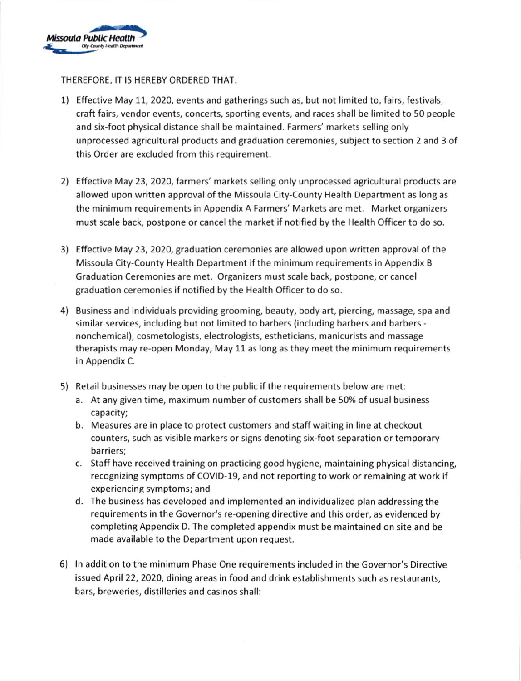

THEREFORE, IT IS HEREBY ORDERED THAT

- 1) Effective May 11, 2020, events and gatherings such as, but not limited to, fairs, festivals, craft fairs, vendor events, concerts, sporting events, and races shall be limited to 50 people and six-foot physical distance shall be maintained. Farmers' markets selling only unprocessed agricultural products and graduation ceremonies, subject to section 2 and 3 of this Order are excluded from this requirement.
- 2) Effective May 23, 2020, farmers' markets selling only unprocessed agricultural products are allowed upon written approval ofthe Missoula City-County Health Department as long as the minimum requirements in Appendix A Farmers' Markets are met. Market organizers must scale back, postpone or cancel the market if notified by the Health Officer to do so.
- 3) Effective May 23, 2020, graduation ceremonies are allowed upon written approval of the Missoula City-County Health Department if the minimum requirements in Appendix B Graduation Ceremonies are met. Organizers must scale back, postpone, or cancel graduation ceremonies if notified by the Health Officer to do so.
- 4) Business and individuals providing grooming, beauty, body art, piercing, massage, spa and similar services, including but not limited to barbers {including barbers and barbers nonchemical), cosmetologists, electrologists, estheticians, manicurists and massage therapists may re-open Monday, May 11 as long as they meet the minimum requirements in Appendix C.
- 5) Retail businesses may be open to the public ifthe requirements below are met:
	- a. At any given time, maximum number of customers shall be 50% of usual business capacity;
	- b. Measures are in place to protect customers and staff waiting in line at checkout counters, such as visible markers or signs denoting six-foot separation or temporary barriers;
	- c. Staff have received training on practicing good hygiene, maintaining physical distancing, recognizing symptoms of COVID-19, and not reporting to work or remaining at work if experiencing symptoms; and
	- d. The business has developed and implemented an individualized plan addressing the requirements in the Governor's re-opening directive and this order, as evidenced by completing Appendix D. The completed appendix must be maintained on site and be made available to the Department upon request.
- 6) ln addition to the minimum Phase One requirements included in the Governor's Directive issued April 22, 2020, dining areas in food and drink establishments such as restaurants, bars, breweries, distilleries and casinos shall: